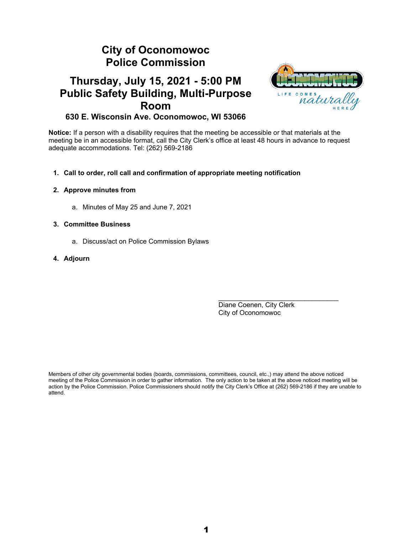# **City of Oconomowoc Police Commission**

# **Thursday, July 15, 2021 - 5:00 PM Public Safety Building, Multi-Purpose Room 630 E. Wisconsin Ave. Oconomowoc, WI 53066**



**Notice:** If a person with a disability requires that the meeting be accessible or that materials at the meeting be in an accessible format, call the City Clerk's office at least 48 hours in advance to request adequate accommodations. Tel: (262) 569-2186

# **1. Call to order, roll call and confirmation of appropriate meeting notification**

# **2. Approve minutes from**

a. Minutes of May 25 and June 7, 2021

# **3. Committee Business**

a. Discuss/act on Police Commission Bylaws

# **4. Adjourn**

Diane Coenen, City Clerk City of Oconomowoc

 $\mathcal{L}_\text{max}$  , and the set of the set of the set of the set of the set of the set of the set of the set of the set of the set of the set of the set of the set of the set of the set of the set of the set of the set of the

Members of other city governmental bodies (boards, commissions, committees, council, etc.,) may attend the above noticed meeting of the Police Commission in order to gather information. The only action to be taken at the above noticed meeting will be action by the Police Commission. Police Commissioners should notify the City Clerk's Office at (262) 569-2186 if they are unable to attend.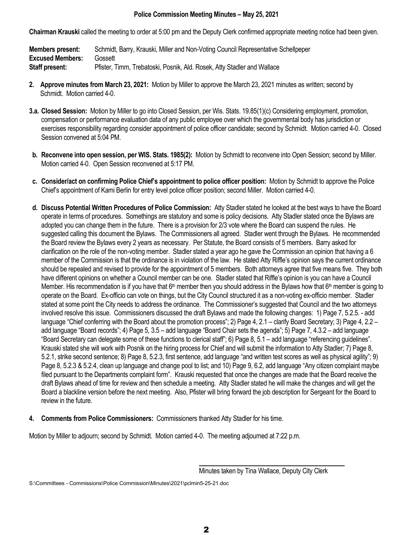# **Police Commission Meeting Minutes – May 25, 2021**

**Chairman Krauski** called the meeting to order at 5:00 pm and the Deputy Clerk confirmed appropriate meeting notice had been given.

**Members present:** Schmidt, Barry, Krauski, Miller and Non-Voting Council Representative Schellpeper **Excused Members:** Gossett **Staff present:** Pfister, Timm, Trebatoski, Posnik, Ald. Rosek, Atty Stadler and Wallace

- **2. Approve minutes from March 23, 2021:** Motion by Miller to approve the March 23, 2021 minutes as written; second by Schmidt. Motion carried 4-0.
- **3.a. Closed Session:** Motion by Miller to go into Closed Session, per Wis. Stats. 19.85(1)(c) Considering employment, promotion, compensation or performance evaluation data of any public employee over which the governmental body has jurisdiction or exercises responsibility regarding consider appointment of police officer candidate; second by Schmidt. Motion carried 4-0. Closed Session convened at 5:04 PM.
- **b. Reconvene into open session, per WIS. Stats. 1985(2):** Motion by Schmidt to reconvene into Open Session; second by Miller. Motion carried 4-0. Open Session reconvened at 5:17 PM.
- **c. Consider/act on confirming Police Chief's appointment to police officer position:** Motion by Schmidt to approve the Police Chief's appointment of Kami Berlin for entry level police officer position; second Miller. Motion carried 4-0.
- **d. Discuss Potential Written Procedures of Police Commission:** Atty Stadler stated he looked at the best ways to have the Board operate in terms of procedures. Somethings are statutory and some is policy decisions. Atty Stadler stated once the Bylaws are adopted you can change them in the future. There is a provision for 2/3 vote where the Board can suspend the rules. He suggested calling this document the Bylaws. The Commissioners all agreed. Stadler went through the Bylaws. He recommended the Board review the Bylaws every 2 years as necessary. Per Statute, the Board consists of 5 members. Barry asked for clarification on the role of the non-voting member. Stadler stated a year ago he gave the Commission an opinion that having a 6 member of the Commission is that the ordinance is in violation of the law. He stated Atty Riffle's opinion says the current ordinance should be repealed and revised to provide for the appointment of 5 members. Both attorneys agree that five means five. They both have different opinions on whether a Council member can be one. Stadler stated that Riffle's opinion is you can have a Council Member. His recommendation is if you have that  $6<sup>th</sup>$  member then you should address in the Bylaws how that  $6<sup>th</sup>$  member is going to operate on the Board. Ex-officio can vote on things, but the City Council structured it as a non-voting ex-officio member. Stadler stated at some point the City needs to address the ordinance. The Commissioner's suggested that Council and the two attorneys involved resolve this issue. Commissioners discussed the draft Bylaws and made the following changes: 1) Page 7, 5.2.5. - add language "Chief conferring with the Board about the promotion process"; 2) Page 4, 2.1 – clarify Board Secretary; 3) Page 4, 2.2 – add language "Board records"; 4) Page 5, 3.5 – add language "Board Chair sets the agenda"; 5) Page 7, 4.3.2 – add language "Board Secretary can delegate some of these functions to clerical staff"; 6) Page 8, 5.1 – add language "referencing guidelines". Krauski stated she will work with Posnik on the hiring process for Chief and will submit the information to Atty Stadler; 7) Page 8, 5.2.1, strike second sentence; 8) Page 8, 5.2.3, first sentence, add language "and written test scores as well as physical agility"; 9) Page 8, 5.2.3 & 5.2.4, clean up language and change pool to list; and 10) Page 9, 6.2, add language "Any citizen complaint maybe filed pursuant to the Departments complaint form". Krauski requested that once the changes are made that the Board receive the draft Bylaws ahead of time for review and then schedule a meeting. Atty Stadler stated he will make the changes and will get the Board a blackline version before the next meeting. Also, Pfister will bring forward the job description for Sergeant for the Board to review in the future.
- **4. Comments from Police Commissioners:** Commissioners thanked Atty Stadler for his time.

Motion by Miller to adjourn; second by Schmidt. Motion carried 4-0. The meeting adjourned at 7:22 p.m.

S:\Committees - Commissions\Police Commission\Minutes\2021\pclmin5-25-21.doc

Minutes taken by Tina Wallace, Deputy City Clerk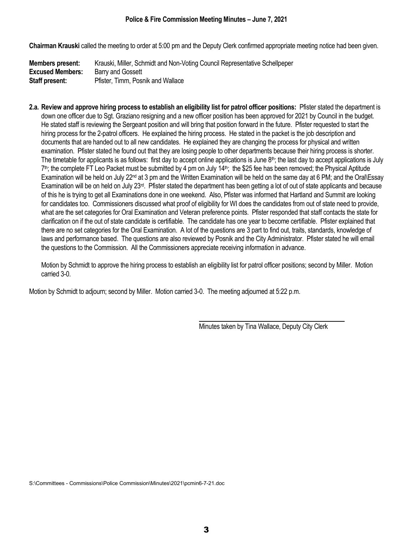**Chairman Krauski** called the meeting to order at 5:00 pm and the Deputy Clerk confirmed appropriate meeting notice had been given.

| <b>Members present:</b> | Krauski, Miller, Schmidt and Non-Voting Council Representative Schellpeper |
|-------------------------|----------------------------------------------------------------------------|
| <b>Excused Members:</b> | Barry and Gossett                                                          |
| Staff present:          | Pfister, Timm, Posnik and Wallace                                          |

**2.a. Review and approve hiring process to establish an eligibility list for patrol officer positions:** Pfister stated the department is down one officer due to Sgt. Graziano resigning and a new officer position has been approved for 2021 by Council in the budget. He stated staff is reviewing the Sergeant position and will bring that position forward in the future. Pfister requested to start the hiring process for the 2-patrol officers. He explained the hiring process. He stated in the packet is the job description and documents that are handed out to all new candidates. He explained they are changing the process for physical and written examination. Pfister stated he found out that they are losing people to other departments because their hiring process is shorter. The timetable for applicants is as follows: first day to accept online applications is June 8<sup>th</sup>; the last day to accept applications is July  $7<sup>th</sup>$ ; the complete FT Leo Packet must be submitted by 4 pm on July 14<sup>th</sup>; the \$25 fee has been removed; the Physical Aptitude Examination will be held on July 22nd at 3 pm and the Written Examination will be held on the same day at 6 PM; and the Oral\Essay Examination will be on held on July 23rd. Pfister stated the department has been getting a lot of out of state applicants and because of this he is trying to get all Examinations done in one weekend. Also, Pfister was informed that Hartland and Summit are looking for candidates too. Commissioners discussed what proof of eligibility for WI does the candidates from out of state need to provide, what are the set categories for Oral Examination and Veteran preference points. Pfister responded that staff contacts the state for clarification on if the out of state candidate is certifiable. The candidate has one year to become certifiable. Pfister explained that there are no set categories for the Oral Examination. A lot of the questions are 3 part to find out, traits, standards, knowledge of laws and performance based. The questions are also reviewed by Posnik and the City Administrator. Pfister stated he will email the questions to the Commission. All the Commissioners appreciate receiving information in advance.

Motion by Schmidt to approve the hiring process to establish an eligibility list for patrol officer positions; second by Miller. Motion carried 3-0.

Motion by Schmidt to adjourn; second by Miller. Motion carried 3-0. The meeting adjourned at 5:22 p.m.

Minutes taken by Tina Wallace, Deputy City Clerk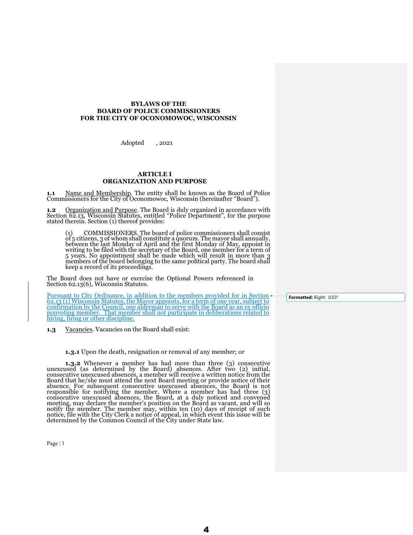# **BYLAWS OF THE BOARD OF POLICE COMMISSIONERS FOR THE CITY OF OCONOMOWOC, WISCONSIN**

Adopted , 2021

# **ARTICLE I ORGANIZATION AND PURPOSE**

**1.1** Name and Membership. The entity shall be known as the Board of Police Commissioners for the City of Oconomowoc, Wisconsin (hereinafter "Board").

**1.2** Organization and Purpose. The Board is duly organized in accordance with Section 62.13, Wisconsin Statutes, entitled "Police Department", for the purpose stated therein. Section (1) thereof provides:

 (1) COMMISSIONERS. The board of police commissioners shall consist of 5 citizens, 3 of whom shall constitute a quorum. The mayor shall annually, between the last Monday of April and the first Monday of May, appoint in writing to be filed with the secretary of the Board, one member for a term of 5 years. No appointment shall be made which will result in more than 3 members of the board belonging to the same political party. The board shall keep a record of its proceedings.

The Board does not have or exercise the Optional Powers referenced in Section 62.13(6), Wisconsin Statutes.

Pursuant to City Ordinance, in addition to the members provided for in Section 62.13 (1) Wisconsin Statutes, the Mayor appoints, for a term of one year, subject to confirmation by the Council, one alderman to serve with the Board as an ex officio nonvoting member. That member shall not participate in deliberations related to hiring, firing or other discipline.

**1.3** Vacancies. Vacancies on the Board shall exist:

#### **1.3.1** Upon the death, resignation or removal of any member; or

**1.3.2** Whenever a member has had more than three (3) consecutive unexcused (as determined by the Board) absences. After two (2) initial, consecutive unexcused absences, a member will receive a written notice from the Board that he/she must attend the next Board meeting or provide notice of their absence. For subsequent consecutive unexcused absences, the Board is not responsible for notifying the member. Where a member has had three (3) consecutive unexcused absences, the Board, at a duly noticed and convened meeting, may declare the member's position on the Board as vacant, and will so notify the member. The member may, within ten (10) days of receipt of such notice, file with the City Clerk a notice of appeal, in which event this issue will be determined by the Common Council of the City under State law.

Page | 1

**Formatted:** Right: 0.03"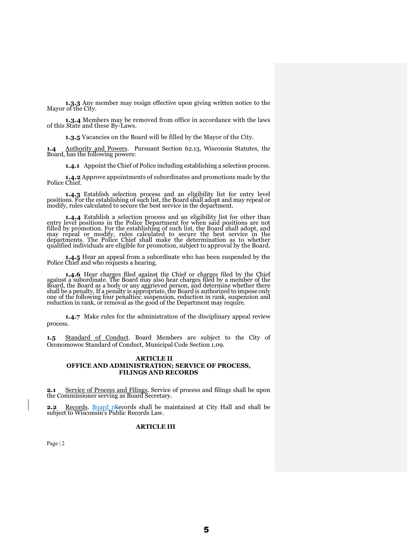**1.3.3** Any member may resign effective upon giving written notice to the Mayor of the City.

**1.3.4** Members may be removed from office in accordance with the laws of this State and these By-Laws.

**1.3.5** Vacancies on the Board will be filled by the Mayor of the City.

**1.4** Authority and Powers. Pursuant Section 62.13, Wisconsin Statutes, the Board, has the following powers:

**1.4.1** Appoint the Chief of Police including establishing a selection process.

**1.4.2** Approve appointments of subordinates and promotions made by the Police Chief.

**1.4.3** Establish selection process and an eligibility list for entry level positions. For the establishing of such list, the Board shall adopt and may repeal or modify, rules calculated to secure the best service in the department.

**1.4.4** Establish a selection process and an eligibility list for other than entry level positions in the Police Department for when said positions are not filled by promotion. For the establishing of such list, the Board shall adopt, and may repeal or modify, rules calculated to secure the best service in the departments. The Police Chief shall make the determination as to whether qualified individuals are eligible for promotion, subject to approval by the Board.

**1.4.5** Hear an appeal from a subordinate who has been suspended by the Police Chief and who requests a hearing.

**1.4.6** Hear charges filed against the Chief or charges filed by the Chief against a subordinate. The Board may also hear charges filed by a member of the Board, the Board as a body or any aggrieved person, and determine whether there shall be a penalty. If a penalty is appropriate, the Board is authorized to impose only one of the following four penalties: suspension, reduction in rank, suspension and reduction in rank, or removal as the good of the Department may require.

 **1.4.7** Make rules for the administration of the disciplinary appeal review process.

**1.5** Standard of Conduct. Board Members are subject to the City of Oconomowoc Standard of Conduct, Municipal Code Section 1.09.

#### **ARTICLE II OFFICE AND ADMINISTRATION; SERVICE OF PROCESS, FILINGS AND RECORDS**

**2.1** Service of Process and Filings. Service of process and filings shall be upon the Commissioner serving as Board Secretary.

**2.2** Records. Board rRecords shall be maintained at City Hall and shall be subject to Wisconsin's Public Records Law.

## **ARTICLE III**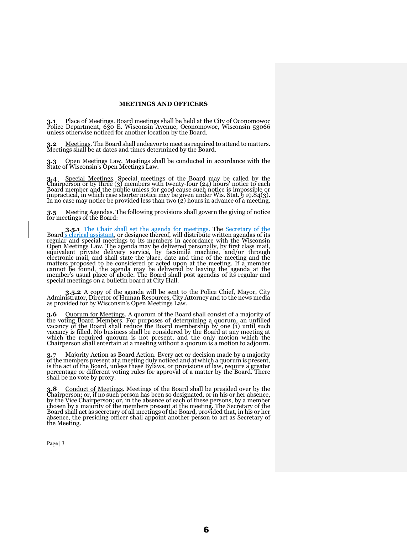# **MEETINGS AND OFFICERS**

**3.1** Place of Meetings. Board meetings shall be held at the City of Oconomowoc Police Department, 630 E. Wisconsin Avenue, Oconomowoc, Wisconsin 53066 unless otherwise noticed for another location by the Board.

**3.2** Meetings. The Board shall endeavor to meet as required to attend to matters. Meetings shall be at dates and times determined by the Board.

**3.3** Open Meetings Law. Meetings shall be conducted in accordance with the State of Wisconsin's Open Meetings Law.

**3.4** Special Meetings. Special meetings of the Board may be called by the Chairperson or by three (3) members with twenty-four (24) hours' notice to each Board member and the public unless for good cause such notice is im impractical, in which case shorter notice may be given under Wis. Stat. § 19.84(3). In no case may notice be provided less than two (2) hours in advance of a meeting.

*3.***5** Meeting Agendas. The following provisions shall govern the giving of notice for meetings of the Board:

**3.5.1** The Chair shall set the agenda for meetings. The Secretary of the Board's clerical assistant, or designee thereof, will distribute written agendas of its regular and special meetings to its members in accordance with the Wisconsin Open Meetings Law. The agenda may be delivered personally, by first class mail, equivalent private delivery service, by facsimile machine, and/or through electronic mail, and shall state the place, date and time of the meeting and the matters proposed to be considered or acted upon at the meeting. If a member cannot be found, the agenda may be delivered by leaving the agenda at the member's usual place of abode. The Board shall post agendas of its regular and special meetings on a bulletin board at City Hall.

**3.5.2** A copy of the agenda will be sent to the Police Chief, Mayor, City Administrator, Director of Human Resources, City Attorney and to the news media as provided for by Wisconsin's Open Meetings Law.

**3.6** Quorum for Meetings. A quorum of the Board shall consist of a majority of the voting Board Members. For purposes of determining a quorum, an unfilled vacancy of the Board shall reduce the Board membership by one  $(i)$  until such vacancy is filled. No business shall be considered by the Board at any meeting at which the required quorum is not present, and the only motion which the Chairperson shall entertain at a meeting without a quorum is a motion to adjourn.

**3.7** Majority Action as Board Action. Every act or decision made by a majority of the members present at a meeting duly noticed and at which a quorum is present, is the act of the Board, unless these Bylaws, or provisions of law, require a greater percentage or different voting rules for approval of a matter by the Board. There shall be no vote by proxy.

**3.8** Conduct of Meetings. Meetings of the Board shall be presided over by the Chairperson; or, if no such person has been so designated, or in his or her absence, by the Vice Chairperson; or, in the absence of each of the chosen by a majority of the members present at the meeting. The Secretary of the Board shall act as secretary of all meetings of the Board, provided that, in his or her absence, the presiding officer shall appoint another person to act as Secretary of the Meeting.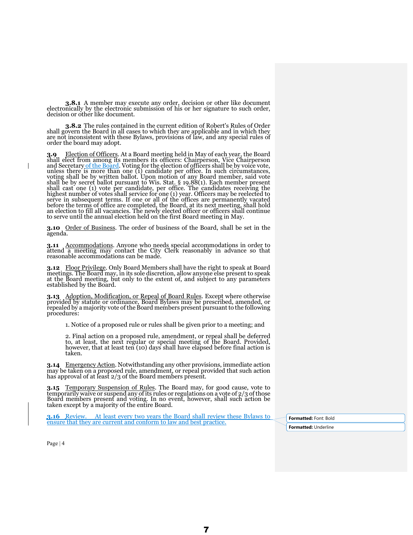**3.8.1** A member may execute any order, decision or other like document electronically by the electronic submission of his or her signature to such order, decision or other like document.

**3.8.2** The rules contained in the current edition of Robert's Rules of Order shall govern the Board in all cases to which they are applicable and in which they are not inconsistent with these Bylaws, provisions of law, and any special rules of order the board may adopt.

**3.9** Election of Officers. At a Board meeting held in May of each year, the Board shall elect from among its members its officers: Chairperson, Vice Chairperson and Secretary of the Board. Voting for the election of offic unless there is more than one (1) candidate per office. In such circumstances, voting shall be by written ballot. Upon motion of any Board member, said vote shall be by secret ballot pursuant to Wis. Stat. § 19.88(1). Each member present shall cast one (1) vote per candidate, per office. The candidates receiving the highest number of votes shall service for one (1) year. Officers may be reelected to serve in subsequent terms. If one or all of the offices are permanently vacated before the terms of office are completed, the Board, at its next meeting, shall hold an election to fill all vacancies. The newly elected officer or officers shall continue to serve until the annual election held on the first Board meeting in May.

**3.10** Order of Business. The order of business of the Board, shall be set in the agenda.

**3.11** Accommodations. Anyone who needs special accommodations in order to attend a meeting may contact the City Clerk reasonably in advance so that reasonable accommodations can be made.

**3.12** Floor Privilege. Only Board Members shall have the right to speak at Board meetings. The Board may, in its sole discretion, allow anyone else present to speak at the Board meeting, but only to the extent of, and subject to any parameters at the Board meeting, but only to the extent of, and subject to any parameters established by the Board.

3.13 Adoption, Modification, or Repeal of Board Rules. Except where otherwise<br>provided by statute or ordinance, Board Bylaws may be prescribed, amended, or<br>repealed by a majority vote of the Board members present pursuant procedures:

1. Notice of a proposed rule or rules shall be given prior to a meeting; and

2. Final action on a proposed rule, amendment, or repeal shall be deferred to, at least, the next regular or special meeting of the Board. Provided, however, that at least ten (10) days shall have elapsed before final action is taken.

**3.14** Emergency Action. Notwithstanding any other provisions, immediate action may be taken on a proposed rule, amendment, or repeal provided that such action has approval of at least 2/3 of the Board members present.

**3.15** Temporary Suspension of Rules. The Board may, for good cause, vote to temporarily waive or suspend any of its rules or regulations on a vote of 2/3 of those Board members present and voting. In no event, however, shall such action be taken except by a majority of the entire Board.

**3.16** Review. At least every two years the Board shall review these Bylaws to **3.16** Keview. At least every two years the Board shall review these Bylaws to **Formatted:** Font: Bold ensure that they are current and conform to law and best practice.

**Formatted:** Underline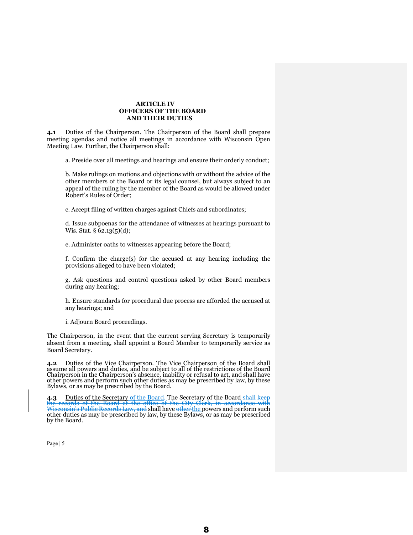# **ARTICLE IV OFFICERS OF THE BOARD AND THEIR DUTIES**

**4.1** Duties of the Chairperson. The Chairperson of the Board shall prepare meeting agendas and notice all meetings in accordance with Wisconsin Open Meeting Law. Further, the Chairperson shall:

a. Preside over all meetings and hearings and ensure their orderly conduct;

b. Make rulings on motions and objections with or without the advice of the other members of the Board or its legal counsel, but always subject to an appeal of the ruling by the member of the Board as would be allowed under Robert's Rules of Order;

c. Accept filing of written charges against Chiefs and subordinates;

d. Issue subpoenas for the attendance of witnesses at hearings pursuant to Wis. Stat. § 62.13(5)(d);

e. Administer oaths to witnesses appearing before the Board;

f. Confirm the charge(s) for the accused at any hearing including the provisions alleged to have been violated;

g. Ask questions and control questions asked by other Board members during any hearing;

h. Ensure standards for procedural due process are afforded the accused at any hearings; and

i. Adjourn Board proceedings.

The Chairperson, in the event that the current serving Secretary is temporarily absent from a meeting, shall appoint a Board Member to temporarily service as Board Secretary.

**4.2** Duties of the Vice Chairperson. The Vice Chairperson of the Board shall assume all powers and duties, and be subject to all of the restrictions of the Board Chairperson in the Chairperson's absence, inability or refusal to act, and shall have other powers and perform such other duties as may be prescribed by law, by these Bylaws, or as may be prescribed by the Board.

4.3 Duties of the Secretary of the Board. The Secretary of the Board shall keep the records of the Board at the office of the City Clerk, in accordance with <del>Wisconsin's Public Records Law, and</del> shall have <del>other <u>the</u> powers and perform such</del><br>other duties as may be prescribed by law, by these Bylaws, or as may be prescribed<br>by the Board.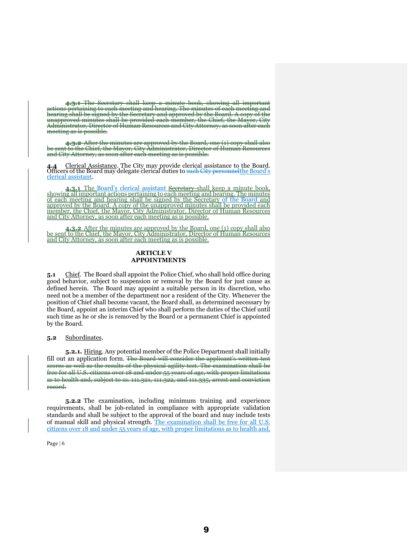**4.3.1** The Secretary shall keep a minute book, showing all important actions pertaining to each meeting and hearing. The minutes of each meeting<br>hearing shall be signed by the Secretary and annroved by the Board. A conv c he <del>Secretary and approved by</del><br>be provided each member<del>. t</del>h unapproved minutes shall be provided each member, the Chief, the Mayor, the Mayor, Chief, the Chief, the Chief<br>Administrator, Director of Human Resources and City Attorney, meeting as is possible.

**4.3.2** After the minutes are approved by the Board, one (1) copy shall also be sent to the Chief, the Mayor, City Administrator, Director of Human Resources and at the City At

**4.4** Clerical Assistance. The City may provide clerical assistance to the Board. Officers of the Board may delegate clerical duties to such City personnelthe Board's clerical assistant.

**4.3.1** The Board's clerical assistant Secretary shall keep a minute book, showing all important actions pertaining to each meeting and hearing. The minutes of each meeting and hearing shall be signed by the Secretary of t approved by the Board. A copy of the unapproved minutes shall be provided each member, the Chief, the Mayor, City Administrator, Director of Human Resources and City Attorney, as soon after each meeting as is possible.

**4.3.2** After the minutes are approved by the Board, one (1) copy shall also be sent to the Chief, the Mayor, City Administrator, Director of Human Resources and City Attorney, as soon after each meeting as is possible.

### **ARTICLE V APPOINTMENTS**

**5.1** Chief. The Board shall appoint the Police Chief, who shall hold office during good behavior, subject to suspension or removal by the Board for just cause as defined herein. The Board may appoint a suitable person in its discretion, who need not be a member of the department nor a resident of the City. Whenever the position of Chief shall become vacant, the Board shall, as determined necessary by the Board, appoint an interim Chief who shall perform the duties of the Chief until such time as he or she is removed by the Board or a permanent Chief is appointed by the Board.

**5.2** Subordinates.

**5.2.1.** Hiring. Any potential member of the Police Department shall initially fill out an application form. The Board will consider the applicant's written test scores as well as the results of the physical agility test. The examination shall be free for all U.S. citizens over 18 and under 55 years of age, with proper limitations as to health and, subject to ss. 111.321, 111.322, and 111.335, arrest and conviction record.

**5.2.2** The examination, including minimum training and experience requirements, shall be job-related in compliance with appropriate validation standards and shall be subject to the approval of the board and may include tests of manual skill and physical strength. The examination shall be free for all U.S. citizens over 18 and under 55 years of age, with proper limitations as to health and,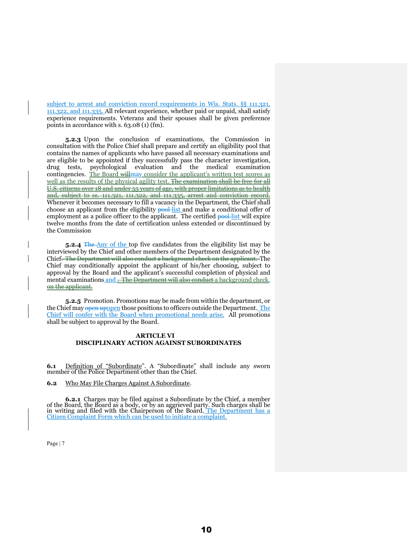subject to arrest and conviction record requirements in Wis. Stats. §§ 111.321, 111.322, and 111.335. All relevant experience, whether paid or unpaid, shall satisfy experience requirements. Veterans and their spouses shall be given preference points in accordance with s. 63.08 (1) (fm).

**5.2.3** Upon the conclusion of examinations, the Commission in consultation with the Police Chief shall prepare and certify an eligibility pool that contains the names of applicants who have passed all necessary examinations and are eligible to be appointed if they successfully pass the character investigation, drug tests, psychological evaluation and the medical examination contingencies. The Board willmay consider the applicant's written test scores as well as the results of the physical agility test. The examination shall be free for all U.S. citizens over 18 and under 55 years of age, with proper limitations as to health and, subject to ss. 111.321, 111.322, and 111.335, arrest and conviction record. Whenever it becomes necessary to fill a vacancy in the Department, the Chief shall choose an applicant from the eligibility **pool** list and make a conditional offer of employment as a police officer to the applicant. The certified **pool-list** will expire twelve months from the date of certification unless extended or discontinued by the Commission

**5.2.4** The Any of the top five candidates from the eligibility list may be interviewed by the Chief and other members of the Department designated by the Chief. The Department will also conduct a background check on the applicant. The Chief may conditionally appoint the applicant of his/her choosing, subject to approval by the Board and the applicant's successful completion of physical and mental examinations and . The Department will also conduct a background check. on the applicant.

**5.2.5** Promotion. Promotions may be made from within the department, or the Chief may open upopen those positions to officers outside the Department. The Chief will confer with the Board when promotional needs arise. All promotions shall be subject to approval by the Board.

# **ARTICLE VI DISCIPLINARY ACTION AGAINST SUBORDINATES**

**6.1** Definition of "Subordinate". A "Subordinate" shall include any sworn member of the Police Department other than the Chief.

**6.2** Who May File Charges Against A Subordinate.

**6.2.1** Charges may be filed against a Subordinate by the Chief, a member of the Board, the Board as a body, or by an aggrieved party. Such charges shall be in writing and filed with the Chairperson of the Board. <u>The Department has a</u> Citizen Complaint Form which can be used to initiate a complaint.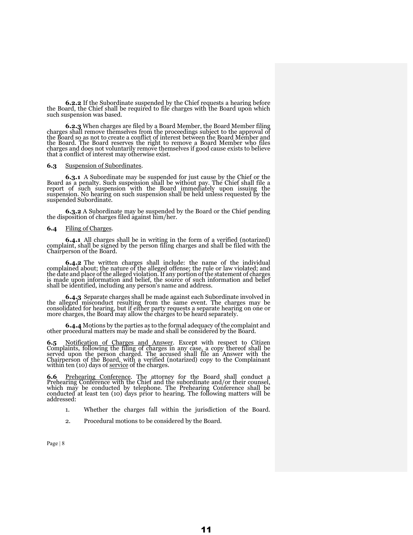**6.2.2** If the Subordinate suspended by the Chief requests a hearing before the Board, the Chief shall be required to file charges with the Board upon which such suspension was based.

**6.2.3** When charges are filed by a Board Member, the Board Member filing charges shall remove themselves from the proceedings subject to the approval of the Board so as not to create a conflict of interest between the Board Member and the Board. The Board reserves the right to remove a Board Member who files charges and does not voluntarily remove themselves if good cause exists to believe that a conflict of interest may otherwise exist.

#### **6.3** Suspension of Subordinates.

**6.3.1** A Subordinate may be suspended for just cause by the Chief or the Board as a penalty. Such suspension shall be without pay. The Chief shall file a report of such suspension with the Board immediately upon issuing the suspension. No hearing on such suspension shall be held unless requested by the suspended Subordinate.

**6.3.2** A Subordinate may be suspended by the Board or the Chief pending the disposition of charges filed against him/her.

#### **6.4** Filing of Charges.

**6.4.1** All charges shall be in writing in the form of a verified (notarized) complaint, shall be signed by the person filing charges and shall be filed with the Chairperson of the Board.

**6.4.2** The written charges shall include: the name of the individual complained about; the nature of the alleged offense; the rule or law violated; and the date and place of the alleged violation. If any portion of the statement of charges is made upon information and belief, the source of such information and belief shall be identified, including any person's name and address.

**6.4.3** Separate charges shall be made against each Subordinate involved in the alleged misconduct resulting from the same event. The charges may be consolidated for hearing, but if either party requests a separate hearing on one or more charges, the Board may allow the charges to be heard separately.

**6.4.4** Motions by the parties as to the formal adequacy of the complaint and other procedural matters may be made and shall be considered by the Board.

6.5 Notification of Charges and Answer. Except with respect to Citizen Complaints, following the filing of charges in any case, a copy thereof shall be Exercise the Board, with a verified (notarized) copy to the Chairperson of the Board, with a verified (notarized) copy to the Complainant within ten (10) days of <u>service</u> of the charges.

**6.6** Prehearing Conference. The attorney for the Board shall conduct a Prehearing Conference with the Chief and the subordinate and/or their counsel, which may be conducted by telephone. The Prehearing Conference shall be conducted at least ten (10) days prior to hearing. The following matters will be addressed:

- 1. Whether the charges fall within the jurisdiction of the Board.
- 2. Procedural motions to be considered by the Board.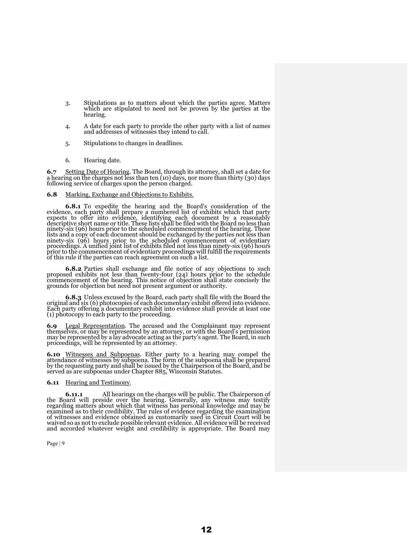- 3. Stipulations as to matters about which the parties agree. Matters which are stipulated to need not be proven by the parties at the hearing.
- 4. A date for each party to provide the other party with a list of names and addresses of witnesses they intend to call.
- 5. Stipulations to changes in deadlines.
- 6. Hearing date.

**6.7** Setting Date of Hearing. The Board, through its attorney, shall set a date for a hearing on the charges not less than ten (10) days, nor more than thirty (30) days following service of charges upon the person charged.

#### **6.8** Marking, Exchange and Objections to Exhibits.

**6.8.1** To expedite the hearing and the Board's consideration of the evidence, each party shall prepare a numbered list of exhibits which that party expects to offer into evidence, identifying each document by a reasonably descriptive short name or title. These lists shall be filed with the Board no less than ninety-six (96) hours prior to the scheduled commencement of the hearing. These lists and a copy of each document should be exchanged by the parties not less than ninety-six (96) hours prior to the scheduled commencement of evidentiary proceedings. A unified joint list of exhibits filed not less than ninety-six (96) hours prior to the commencement of evidentiary proceedings will fulfill the requirements of this rule if the parties can reach agreement on such a list.

**6.8.2** Parties shall exchange and file notice of any objections to such proposed exhibits not less than twenty-four (24) hours prior to the schedule commencement of the hearing. This notice of objection shall state concisely the grounds for objection but need not present argument or authority.

**6.8.3** Unless excused by the Board, each party shall file with the Board the original and six (6) photocopies of each documentary exhibit offered into evidence. Each party offering a documentary exhibit into evidence shall provide at least one (1) photocopy to each party to the proceeding.

**6.9** Legal Representation. The accused and the Complainant may represent themselves, or may be represented by an attorney, or with the Board's permission may be represented by a lay advocate acting as the party's agent. The Board, in such proceedings, will be represented by an attorney.

**6.10** Witnesses and Subpoenas. Either party to a hearing may compel the attendance of witnesses by subpoena. The form of the subpoena shall be prepared by the requesting party and shall be issued by the Chairperson of the Board, and be served as are subpoenas under Chapter 885, Wisconsin Statutes.

#### **6.11** Hearing and Testimony.

**6.11.1** All hearings on the charges will be public. The Chairperson of the Board will preside over the hearing. Generally, any witness may testify regarding matters about which that witness has personal knowledge and may be examined as to their credibility. The rules of evidence regarding the examination of witnesses and evidence obtained as customarily used in Circuit Court will be waived so as not to exclude possible relevant evidence. All evidence will be received and accorded whatever weight and credibility is appropriate. The Board may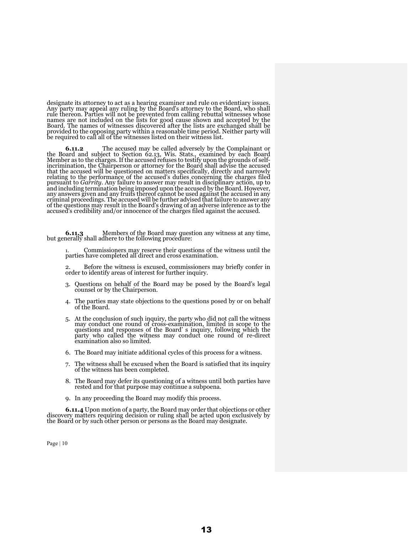designate its attorney to act as a hearing examiner and rule on evidentiary issues.<br>Any party may appeal any ruling by the Board's attorney to the Board, who shall rule thereon. Parties will not be prevented from calling rebuttal witnesses whose names are not included on the lists for good cause shown and accepted by the Board. The names of witnesses discovered after the lists are exchanged shall be provided to the opposing party within a reasonable time period. Neither party will be required to call all of the witnesses listed on their witness list.

**6.11.2** The accused may be called adversely by the Complainant or the Board and subject to Section 62.13, Wis. Stats., examined by each Board Member as to the charges. If the accused refuses to testify upon the grounds of selfincrimination, the Chairperson or attorney for the Board shall advise the accused that the accused will be questioned on matters specifically, directly and narrowly relating to the performance of the accused's duties concerning the charges filed pursuant to *Garrity*. Any failure to answer may result in disciplinary action, up to and including termination being imposed upon the accused by the Board. However, any answers given and any fruits thereof cannot be used against the accused in any criminal proceedings. The accused will be further advised that failure to answer any of the questions may result in the Board's drawing of an adverse inference as to the accused's credibility and/or innocence of the charges filed against the accused.

**6.11.3** Members of the Board may question any witness at any time, but generally shall adhere to the following procedure:

1. Commissioners may reserve their questions of the witness until the parties have completed all direct and cross examination.

Before the witness is excused, commissioners may briefly confer in order to identify areas of interest for further inquiry.

- 3. Questions on behalf of the Board may be posed by the Board's legal counsel or by the Chairperson.
- 4. The parties may state objections to the questions posed by or on behalf of the Board.
- 5. At the conclusion of such inquiry, the party who did not call the witness may conduct one round of cross-examination, limited in scope to the questions and responses of the Board' s inquiry, following which the party who called the witness may conduct one round of re-direct examination also so limited.
- 6. The Board may initiate additional cycles of this process for a witness.
- 7. The witness shall be excused when the Board is satisfied that its inquiry of the witness has been completed.
- 8. The Board may defer its questioning of a witness until both parties have rested and for that purpose may continue a subpoena.
- 9. In any proceeding the Board may modify this process.

**6.11.4** Upon motion of a party, the Board may order that objections or other discovery matters requiring decision or ruling shall be acted upon exclusively by the Board or by such other person or persons as the Board may designate.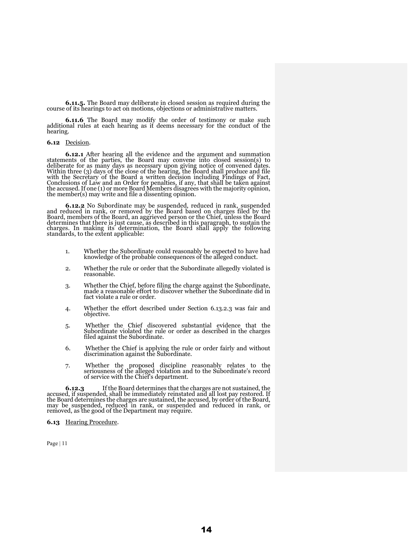**6.11.5.** The Board may deliberate in closed session as required during the course of its hearings to act on motions, objections or administrative matters.

**6.11.6** The Board may modify the order of testimony or make such additional rules at each hearing as it deems necessary for the conduct of the hearing.

## **6.12** Decision.

**6.12.1** After hearing all the evidence and the argument and summation statements of the parties, the Board may convene into closed session(s) to deliberate for as many days as necessary upon giving notice of convened dates. Within three (3) days of the close of the hearing, the Board shall produce and file with the Secretary of the Board a written decision including Findings of Fact, Conclusions of Law and an Order for penalties, if any, that shall be taken against the accused. If one (1) or more Board Members disagrees with the majority opinion, the member(s) may write and file a dissenting opinion.

**6.12.2** No Subordinate may be suspended, reduced in rank, suspended and reduced in rank, or removed by the Board based on charges filed by the Board, members of the Board, an aggrieved person or the Chief, unless the Board determines that there is just cause, as described in this paragraph, to sustain the charges. In making its determination, the Board shall apply the following standards, to the extent applicable:

- 1. Whether the Subordinate could reasonably be expected to have had knowledge of the probable consequences of the alleged conduct.
- 2. Whether the rule or order that the Subordinate allegedly violated is reasonable.
- 3. Whether the Chief, before filing the charge against the Subordinate, made a reasonable effort to discover whether the Subordinate did in fact violate a rule or order.
- 4. Whether the effort described under Section 6.13.2.3 was fair and objective.
- 5. Whether the Chief discovered substantial evidence that the Subordinate violated the rule or order as described in the charges filed against the Subordinate.
- 6. Whether the Chief is applying the rule or order fairly and without discrimination against the Subordinate.
- 7. Whether the proposed discipline reasonably relates to the seriousness of the alleged violation and to the Subordinate's record of service with the Chief's department.

**6.12.3** If the Board determines that the charges are not sustained, the accused, if suspended, shall be immediately reinstated and all lost pay restored. If the Board determines the charges are sustained, the accused, by order of the Board, may be suspended, reduced in rank, or suspended and reduced in rank, or removed, as the good of the Department may require.

#### **6.13** Hearing Procedure.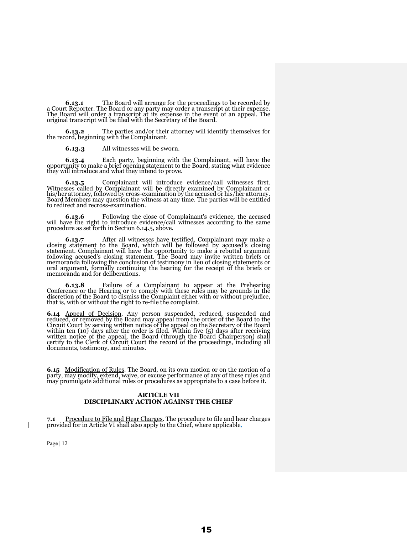**6.13.1** The Board will arrange for the proceedings to be recorded by a Court Reporter. The Board or any party may order a transcript at their expense. The Board will order a transcript at its expense in the event of an appeal. The original transcript will be filed with the Secretary of the Board.

**6.13.2** The parties and/or their attorney will identify themselves for the record, beginning with the Complainant.

**6.13.3** All witnesses will be sworn.

**6.13.4** Each party, beginning with the Complainant, will have the opportunity to make a brief opening statement to the Board, stating what evidence they will introduce and what they intend to prove.

**6.13.5** Complainant will introduce evidence/call witnesses first. Witnesses called by Complainant will be directly examined by Complainant or his/her attorney, followed by cross-examination by the accused or his/her attorney. Board Members may question the witness at any time. The parties will be entitled to redirect and recross-examination.

**6.13.6** Following the close of Complainant's evidence, the accused will have the right to introduce evidence/call witnesses according to the same procedure as set forth in Section 6.14.5, above.

**6.13.7** After all witnesses have testified, Complainant may make a closing statement to the Board, which will be followed by accused's closing statement. Complainant will have the opportunity to make a rebuttal argument following accused's closing statement. The Board may invite written briefs or memoranda following the conclusion of testimony in lieu of closing statements or oral argument, formally continuing the hearing for the receipt of the briefs or memoranda and for deliberations.

**6.13.8** Failure of a Complainant to appear at the Prehearing Conference or the Hearing or to comply with these rules may be grounds in the discretion of the Board to dismiss the Complaint either with or without prejudice, that is, with or without the right to re-file the complaint.

**6.14** Appeal of Decision. Any person suspended, reduced, suspended and reduced, or removed by the Board may appeal from the order of the Board to the Circuit Court by serving written notice of the appeal on the Secretary of the Board within ten (10) days after the order is filed. Within five (5) days after receiving written notice of the appeal, the Board (through the Board Chairperson) shall certify to the Clerk of Circuit Court the record of the proceedings, including all documents, testimony, and minutes.

**6.15** Modification of Rules. The Board, on its own motion or on the motion of a party, may modify, extend, waive, or excuse performance of any of these rules and may promulgate additional rules or procedures as appropriate to a case before it.

## **ARTICLE VII DISCIPLINARY ACTION AGAINST THE CHIEF**

**7.1** Procedure to File and Hear Charges. The procedure to file and hear charges provided for in Article VI shall also apply to the Chief, where applicable.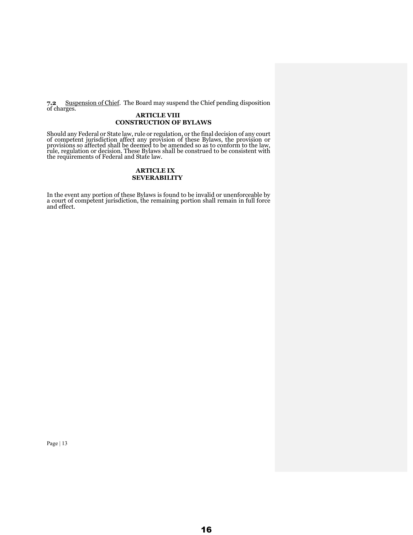**7.2** Suspension of Chief. The Board may suspend the Chief pending disposition of charges.

# **ARTICLE VIII CONSTRUCTION OF BYLAWS**

Should any Federal or State law, rule or regulation, or the final decision of any court of competent jurisdiction affect any provision of these Bylaws, the provision or provisions so affected shall be deemed to be amended so as to conform to the law, rule, regulation or decision. These Bylaws shall be construed to be consistent with the requirements of Federal and State law.

# **ARTICLE IX SEVERABILITY**

In the event any portion of these Bylaws is found to be invalid or unenforceable by a court of competent jurisdiction, the remaining portion shall remain in full force and effect.